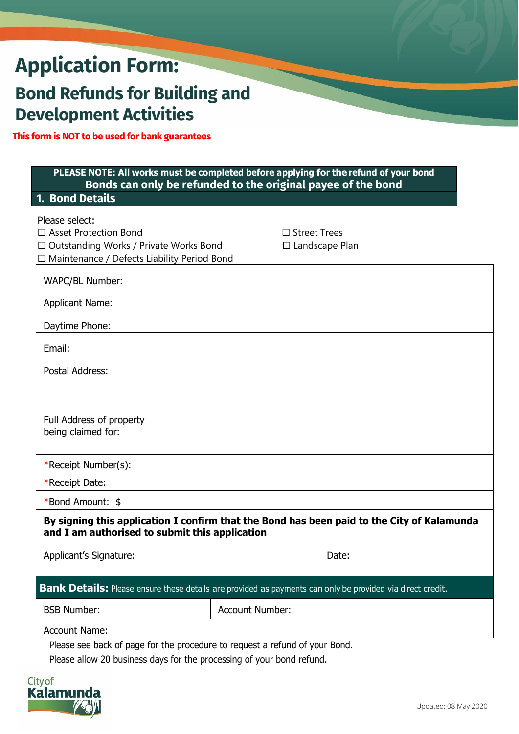# **Application Form:**

# **Bond Refunds for Building and Development Activities**

**This form is NOT to be used for bank guarantees**

| 1. Bond Details                                                                                                                              |  | PLEASE NOTE: All works must be completed before applying for the refund of your bond<br>Bonds can only be refunded to the original payee of the bond |  |
|----------------------------------------------------------------------------------------------------------------------------------------------|--|------------------------------------------------------------------------------------------------------------------------------------------------------|--|
|                                                                                                                                              |  |                                                                                                                                                      |  |
| Please select:<br>□ Asset Protection Bond                                                                                                    |  | $\Box$ Street Trees                                                                                                                                  |  |
| $\Box$ Outstanding Works / Private Works Bond<br>□ Maintenance / Defects Liability Period Bond                                               |  | $\Box$ Landscape Plan                                                                                                                                |  |
| WAPC/BL Number:                                                                                                                              |  |                                                                                                                                                      |  |
| <b>Applicant Name:</b>                                                                                                                       |  |                                                                                                                                                      |  |
| Daytime Phone:                                                                                                                               |  |                                                                                                                                                      |  |
| Email:                                                                                                                                       |  |                                                                                                                                                      |  |
| Postal Address:                                                                                                                              |  |                                                                                                                                                      |  |
|                                                                                                                                              |  |                                                                                                                                                      |  |
|                                                                                                                                              |  |                                                                                                                                                      |  |
| Full Address of property<br>being claimed for:                                                                                               |  |                                                                                                                                                      |  |
|                                                                                                                                              |  |                                                                                                                                                      |  |
| *Receipt Number(s):                                                                                                                          |  |                                                                                                                                                      |  |
| *Receipt Date:                                                                                                                               |  |                                                                                                                                                      |  |
| *Bond Amount: \$                                                                                                                             |  |                                                                                                                                                      |  |
| By signing this application I confirm that the Bond has been paid to the City of Kalamunda<br>and I am authorised to submit this application |  |                                                                                                                                                      |  |
| Applicant's Signature:                                                                                                                       |  | Date:                                                                                                                                                |  |
|                                                                                                                                              |  |                                                                                                                                                      |  |
| Bank Details: Please ensure these details are provided as payments can only be provided via direct credit.                                   |  |                                                                                                                                                      |  |
| <b>BSB Number:</b>                                                                                                                           |  | <b>Account Number:</b>                                                                                                                               |  |
| <b>Account Name:</b>                                                                                                                         |  |                                                                                                                                                      |  |
| Please see back of page for the procedure to request a refund of your Bond.                                                                  |  |                                                                                                                                                      |  |

Please allow 20 business days for the processing of your bond refund.